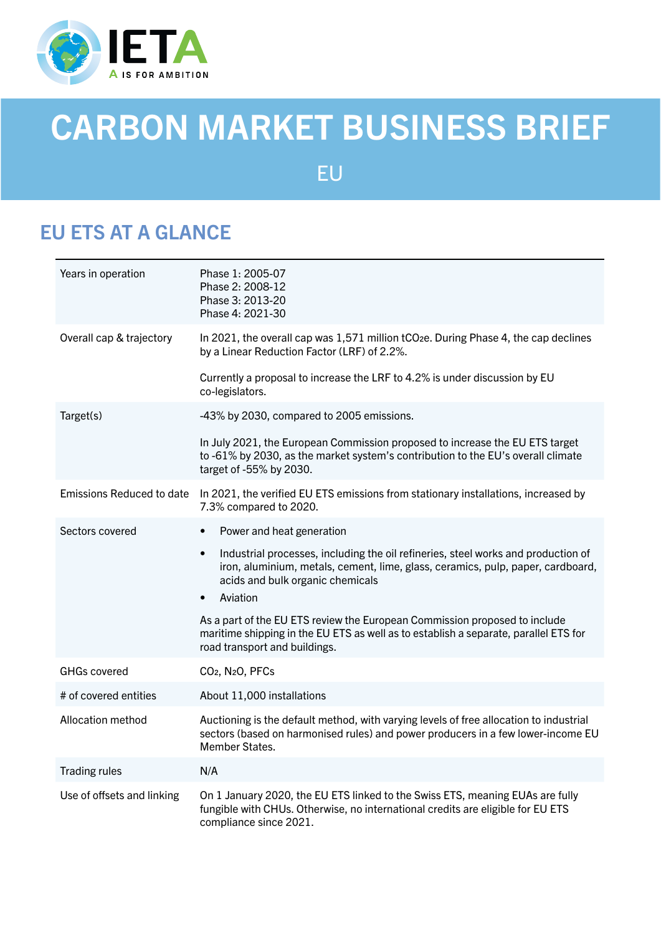

# CARBON MARKET BUSINESS BRIEF

EU

# EU ETS AT A GLANCE

| Years in operation         | Phase 1: 2005-07<br>Phase 2: 2008-12<br>Phase 3: 2013-20<br>Phase 4: 2021-30                                                                                                                                          |
|----------------------------|-----------------------------------------------------------------------------------------------------------------------------------------------------------------------------------------------------------------------|
| Overall cap & trajectory   | In 2021, the overall cap was 1,571 million tCO <sub>2</sub> e. During Phase 4, the cap declines<br>by a Linear Reduction Factor (LRF) of 2.2%.                                                                        |
|                            | Currently a proposal to increase the LRF to 4.2% is under discussion by EU<br>co-legislators.                                                                                                                         |
| Target(s)                  | -43% by 2030, compared to 2005 emissions.                                                                                                                                                                             |
|                            | In July 2021, the European Commission proposed to increase the EU ETS target<br>to -61% by 2030, as the market system's contribution to the EU's overall climate<br>target of -55% by 2030.                           |
| Emissions Reduced to date  | In 2021, the verified EU ETS emissions from stationary installations, increased by<br>7.3% compared to 2020.                                                                                                          |
| Sectors covered            | Power and heat generation<br>$\bullet$                                                                                                                                                                                |
|                            | Industrial processes, including the oil refineries, steel works and production of<br>$\bullet$<br>iron, aluminium, metals, cement, lime, glass, ceramics, pulp, paper, cardboard,<br>acids and bulk organic chemicals |
|                            | Aviation<br>$\bullet$                                                                                                                                                                                                 |
|                            | As a part of the EU ETS review the European Commission proposed to include<br>maritime shipping in the EU ETS as well as to establish a separate, parallel ETS for<br>road transport and buildings.                   |
| <b>GHGs covered</b>        | CO <sub>2</sub> , N <sub>2</sub> O, PFC <sub>s</sub>                                                                                                                                                                  |
| # of covered entities      | About 11,000 installations                                                                                                                                                                                            |
| Allocation method          | Auctioning is the default method, with varying levels of free allocation to industrial<br>sectors (based on harmonised rules) and power producers in a few lower-income EU<br>Member States.                          |
| <b>Trading rules</b>       | N/A                                                                                                                                                                                                                   |
| Use of offsets and linking | On 1 January 2020, the EU ETS linked to the Swiss ETS, meaning EUAs are fully<br>fungible with CHUs. Otherwise, no international credits are eligible for EU ETS<br>compliance since 2021.                            |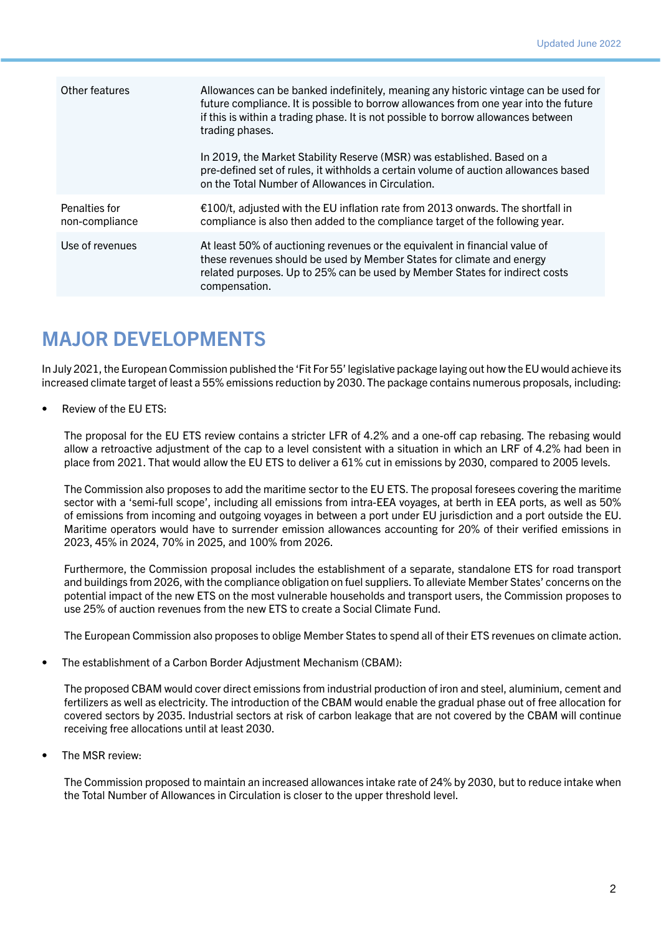| Other features                  | Allowances can be banked indefinitely, meaning any historic vintage can be used for<br>future compliance. It is possible to borrow allowances from one year into the future<br>if this is within a trading phase. It is not possible to borrow allowances between<br>trading phases. |
|---------------------------------|--------------------------------------------------------------------------------------------------------------------------------------------------------------------------------------------------------------------------------------------------------------------------------------|
|                                 | In 2019, the Market Stability Reserve (MSR) was established. Based on a<br>pre-defined set of rules, it withholds a certain volume of auction allowances based<br>on the Total Number of Allowances in Circulation.                                                                  |
| Penalties for<br>non-compliance | €100/t, adjusted with the EU inflation rate from 2013 onwards. The shortfall in<br>compliance is also then added to the compliance target of the following year.                                                                                                                     |
| Use of revenues                 | At least 50% of auctioning revenues or the equivalent in financial value of<br>these revenues should be used by Member States for climate and energy<br>related purposes. Up to 25% can be used by Member States for indirect costs<br>compensation.                                 |

# MAJOR DEVELOPMENTS

In July 2021, the European Commission published the 'Fit For 55' legislative package laying out how the EU would achieve its increased climate target of least a 55% emissions reduction by 2030. The package contains numerous proposals, including:

• Review of the EU ETS:

The proposal for the EU ETS review contains a stricter LFR of 4.2% and a one-off cap rebasing. The rebasing would allow a retroactive adjustment of the cap to a level consistent with a situation in which an LRF of 4.2% had been in place from 2021. That would allow the EU ETS to deliver a 61% cut in emissions by 2030, compared to 2005 levels.

The Commission also proposes to add the maritime sector to the EU ETS. The proposal foresees covering the maritime sector with a 'semi-full scope', including all emissions from intra-EEA voyages, at berth in EEA ports, as well as 50% of emissions from incoming and outgoing voyages in between a port under EU jurisdiction and a port outside the EU. Maritime operators would have to surrender emission allowances accounting for 20% of their verified emissions in 2023, 45% in 2024, 70% in 2025, and 100% from 2026.

Furthermore, the Commission proposal includes the establishment of a separate, standalone ETS for road transport and buildings from 2026, with the compliance obligation on fuel suppliers. To alleviate Member States' concerns on the potential impact of the new ETS on the most vulnerable households and transport users, the Commission proposes to use 25% of auction revenues from the new ETS to create a Social Climate Fund.

The European Commission also proposes to oblige Member States to spend all of their ETS revenues on climate action.

• The establishment of a Carbon Border Adjustment Mechanism (CBAM):

The proposed CBAM would cover direct emissions from industrial production of iron and steel, aluminium, cement and fertilizers as well as electricity. The introduction of the CBAM would enable the gradual phase out of free allocation for covered sectors by 2035. Industrial sectors at risk of carbon leakage that are not covered by the CBAM will continue receiving free allocations until at least 2030.

The MSR review:

The Commission proposed to maintain an increased allowances intake rate of 24% by 2030, but to reduce intake when the Total Number of Allowances in Circulation is closer to the upper threshold level.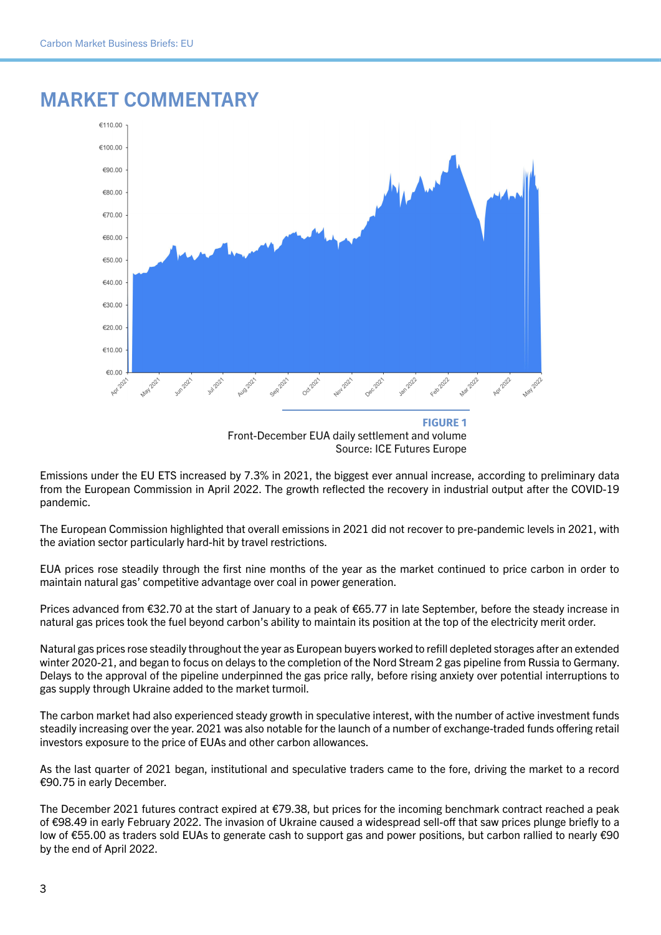

#### MARKET COMMENTARY

Emissions under the EU ETS increased by 7.3% in 2021, the biggest ever annual increase, according to preliminary data from the European Commission in April 2022. The growth reflected the recovery in industrial output after the COVID-19 pandemic.

The European Commission highlighted that overall emissions in 2021 did not recover to pre-pandemic levels in 2021, with the aviation sector particularly hard-hit by travel restrictions.

EUA prices rose steadily through the first nine months of the year as the market continued to price carbon in order to maintain natural gas' competitive advantage over coal in power generation.

Prices advanced from €32.70 at the start of January to a peak of €65.77 in late September, before the steady increase in natural gas prices took the fuel beyond carbon's ability to maintain its position at the top of the electricity merit order.

Natural gas prices rose steadily throughout the year as European buyers worked to refill depleted storages after an extended winter 2020-21, and began to focus on delays to the completion of the Nord Stream 2 gas pipeline from Russia to Germany. Delays to the approval of the pipeline underpinned the gas price rally, before rising anxiety over potential interruptions to gas supply through Ukraine added to the market turmoil.

The carbon market had also experienced steady growth in speculative interest, with the number of active investment funds steadily increasing over the year. 2021 was also notable for the launch of a number of exchange-traded funds offering retail investors exposure to the price of EUAs and other carbon allowances.

As the last quarter of 2021 began, institutional and speculative traders came to the fore, driving the market to a record €90.75 in early December.

The December 2021 futures contract expired at €79.38, but prices for the incoming benchmark contract reached a peak of €98.49 in early February 2022. The invasion of Ukraine caused a widespread sell-off that saw prices plunge briefly to a low of €55.00 as traders sold EUAs to generate cash to support gas and power positions, but carbon rallied to nearly €90 by the end of April 2022.